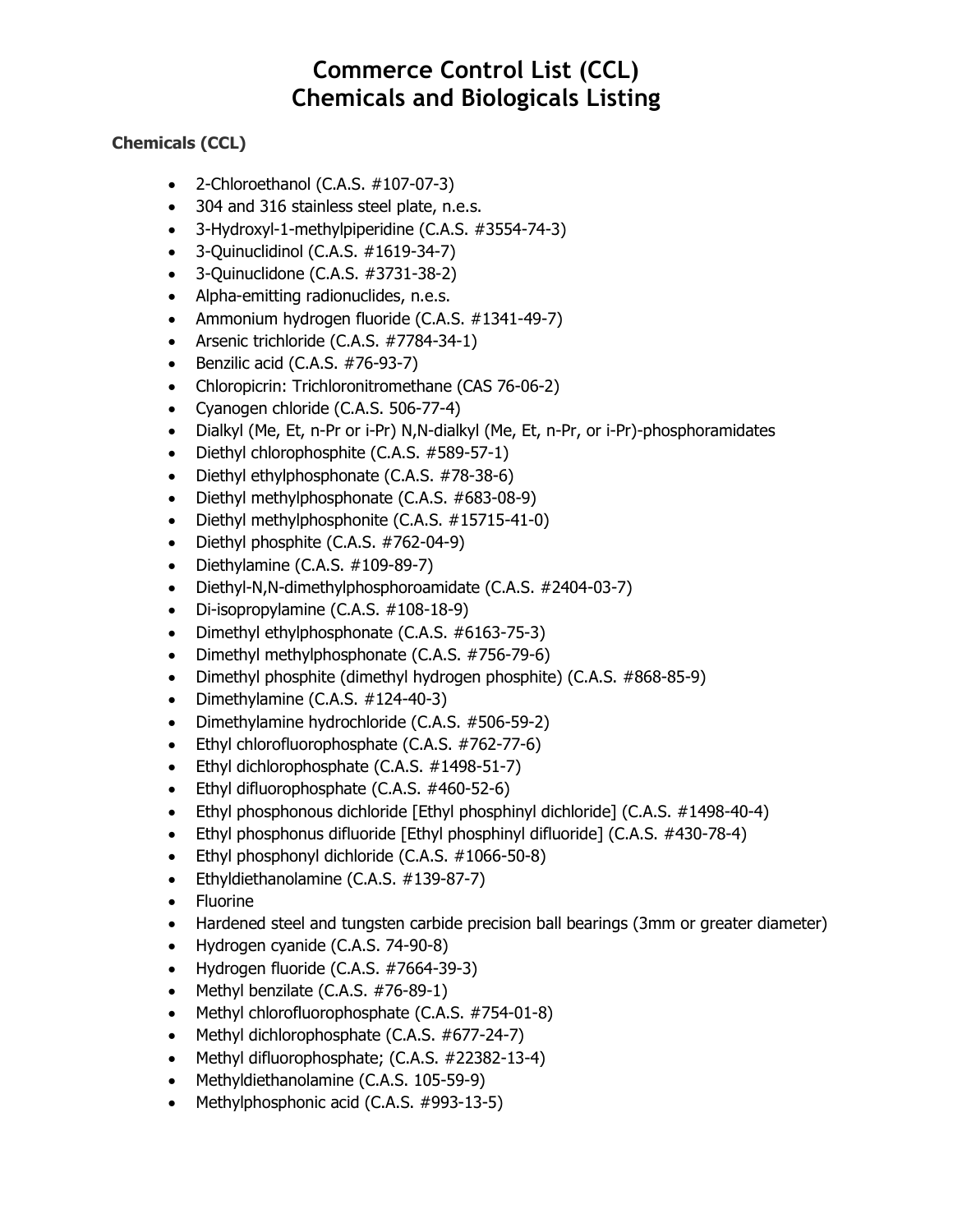#### **Chemicals (CCL)**

- $\bullet$  2-Chloroethanol (C.A.S.  $\#107-07-3$ )
- 304 and 316 stainless steel plate, n.e.s.
- 3-Hydroxyl-1-methylpiperidine (C.A.S. #3554-74-3)
- 3-Quinuclidinol (C.A.S. #1619-34-7)
- 3-Quinuclidone (C.A.S. #3731-38-2)
- Alpha-emitting radionuclides, n.e.s.
- Ammonium hydrogen fluoride (C.A.S. #1341-49-7)
- Arsenic trichloride (C.A.S. #7784-34-1)
- Benzilic acid (C.A.S. #76-93-7)
- Chloropicrin: Trichloronitromethane (CAS 76-06-2)
- Cyanogen chloride (C.A.S. 506-77-4)
- Dialkyl (Me, Et, n-Pr or i-Pr) N,N-dialkyl (Me, Et, n-Pr, or i-Pr)-phosphoramidates
- Diethyl chlorophosphite (C.A.S. #589-57-1)
- Diethyl ethylphosphonate (C.A.S. #78-38-6)
- Diethyl methylphosphonate (C.A.S. #683-08-9)
- Diethyl methylphosphonite (C.A.S. #15715-41-0)
- Diethyl phosphite (C.A.S. #762-04-9)
- Diethylamine (C.A.S.  $\#109-89-7$ )
- Diethyl-N,N-dimethylphosphoroamidate (C.A.S. #2404-03-7)
- Di-isopropylamine (C.A.S. #108-18-9)
- Dimethyl ethylphosphonate (C.A.S. #6163-75-3)
- Dimethyl methylphosphonate (C.A.S. #756-79-6)
- Dimethyl phosphite (dimethyl hydrogen phosphite) (C.A.S. #868-85-9)
- Dimethylamine (C.A.S. #124-40-3)
- Dimethylamine hydrochloride (C.A.S. #506-59-2)
- Ethyl chlorofluorophosphate (C.A.S. #762-77-6)
- Ethyl dichlorophosphate (C.A.S. #1498-51-7)
- Ethyl difluorophosphate (C.A.S. #460-52-6)
- Ethyl phosphonous dichloride [Ethyl phosphinyl dichloride] (C.A.S. #1498-40-4)
- Ethyl phosphonus difluoride [Ethyl phosphinyl difluoride] (C.A.S. #430-78-4)
- Ethyl phosphonyl dichloride (C.A.S. #1066-50-8)
- Ethyldiethanolamine (C.A.S. #139-87-7)
- Fluorine
- Hardened steel and tungsten carbide precision ball bearings (3mm or greater diameter)
- Hydrogen cyanide (C.A.S. 74-90-8)
- Hydrogen fluoride (C.A.S. #7664-39-3)
- Methyl benzilate (C.A.S. #76-89-1)
- Methyl chlorofluorophosphate (C.A.S. #754-01-8)
- Methyl dichlorophosphate (C.A.S. #677-24-7)
- Methyl difluorophosphate; (C.A.S. #22382-13-4)
- Methyldiethanolamine (C.A.S. 105-59-9)
- Methylphosphonic acid (C.A.S. #993-13-5)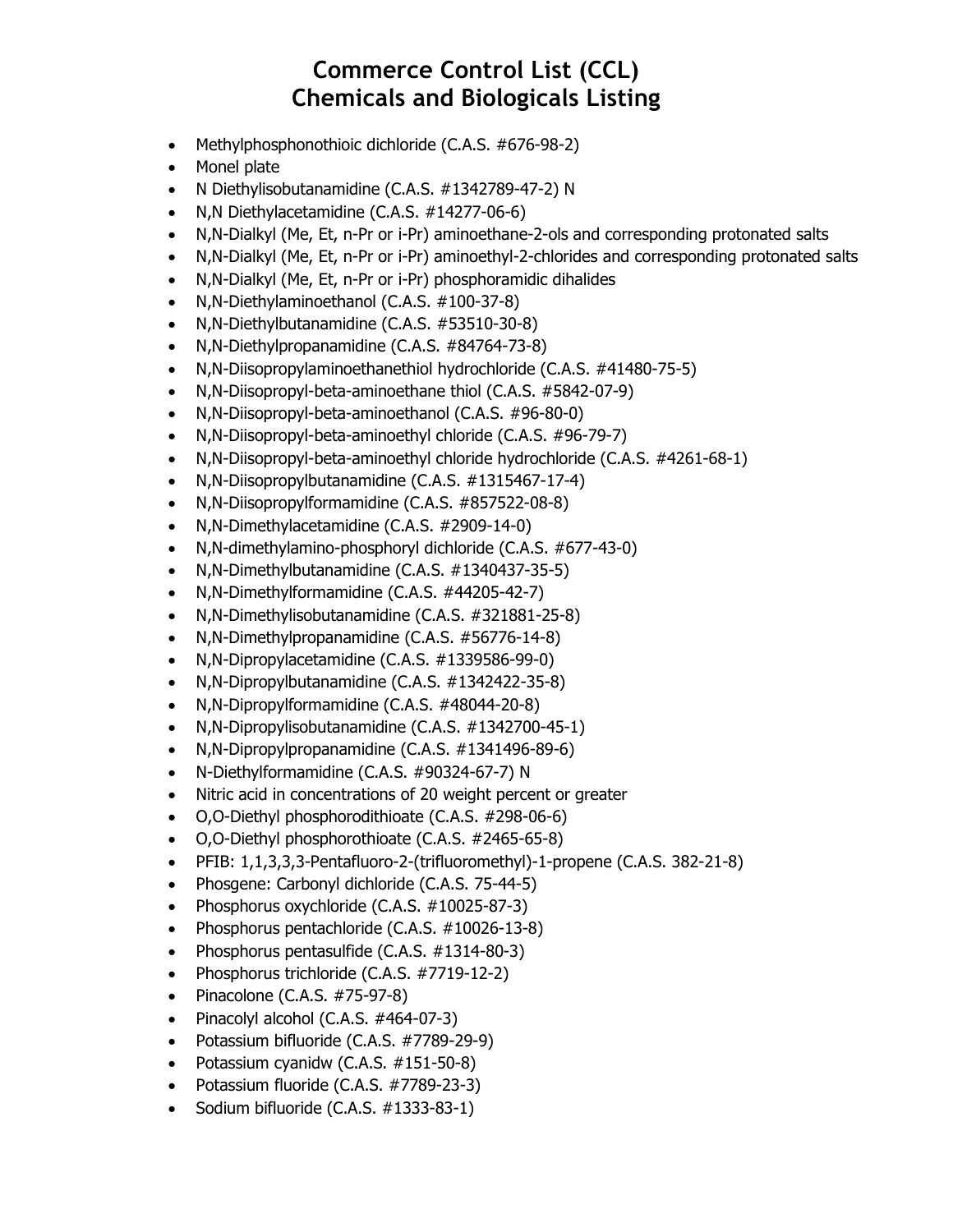- Methylphosphonothioic dichloride (C.A.S. #676-98-2)
- Monel plate
- N Diethylisobutanamidine (C.A.S. #1342789-47-2) N
- N,N Diethylacetamidine (C.A.S. #14277-06-6)
- N,N-Dialkyl (Me, Et, n-Pr or i-Pr) aminoethane-2-ols and corresponding protonated salts
- N,N-Dialkyl (Me, Et, n-Pr or i-Pr) aminoethyl-2-chlorides and corresponding protonated salts
- N,N-Dialkyl (Me, Et, n-Pr or i-Pr) phosphoramidic dihalides
- N,N-Diethylaminoethanol (C.A.S. #100-37-8)
- N,N-Diethylbutanamidine (C.A.S. #53510-30-8)
- N,N-Diethylpropanamidine (C.A.S. #84764-73-8)
- N,N-Diisopropylaminoethanethiol hydrochloride (C.A.S. #41480-75-5)
- N,N-Diisopropyl-beta-aminoethane thiol (C.A.S. #5842-07-9)
- N,N-Diisopropyl-beta-aminoethanol (C.A.S. #96-80-0)
- N,N-Diisopropyl-beta-aminoethyl chloride (C.A.S. #96-79-7)
- N,N-Diisopropyl-beta-aminoethyl chloride hydrochloride (C.A.S. #4261-68-1)
- N,N-Diisopropylbutanamidine (C.A.S. #1315467-17-4)
- N,N-Diisopropylformamidine (C.A.S. #857522-08-8)
- N,N-Dimethylacetamidine (C.A.S. #2909-14-0)
- N,N-dimethylamino-phosphoryl dichloride (C.A.S. #677-43-0)
- N,N-Dimethylbutanamidine (C.A.S. #1340437-35-5)
- N,N-Dimethylformamidine (C.A.S. #44205-42-7)
- N,N-Dimethylisobutanamidine (C.A.S. #321881-25-8)
- N,N-Dimethylpropanamidine (C.A.S. #56776-14-8)
- N,N-Dipropylacetamidine (C.A.S. #1339586-99-0)
- N,N-Dipropylbutanamidine (C.A.S. #1342422-35-8)
- N,N-Dipropylformamidine (C.A.S. #48044-20-8)
- N,N-Dipropylisobutanamidine (C.A.S. #1342700-45-1)
- N,N-Dipropylpropanamidine (C.A.S. #1341496-89-6)
- N-Diethylformamidine (C.A.S. #90324-67-7) N
- Nitric acid in concentrations of 20 weight percent or greater
- O,O-Diethyl phosphorodithioate (C.A.S. #298-06-6)
- O,O-Diethyl phosphorothioate (C.A.S. #2465-65-8)
- PFIB: 1,1,3,3,3-Pentafluoro-2-(trifluoromethyl)-1-propene (C.A.S. 382-21-8)
- Phosgene: Carbonyl dichloride (C.A.S. 75-44-5)
- Phosphorus oxychloride (C.A.S. #10025-87-3)
- Phosphorus pentachloride (C.A.S. #10026-13-8)
- Phosphorus pentasulfide (C.A.S. #1314-80-3)
- Phosphorus trichloride (C.A.S. #7719-12-2)
- Pinacolone (C.A.S. #75-97-8)
- Pinacolyl alcohol (C.A.S. #464-07-3)
- Potassium bifluoride (C.A.S. #7789-29-9)
- Potassium cyanidw (C.A.S. #151-50-8)
- Potassium fluoride (C.A.S. #7789-23-3)
- Sodium bifluoride (C.A.S. #1333-83-1)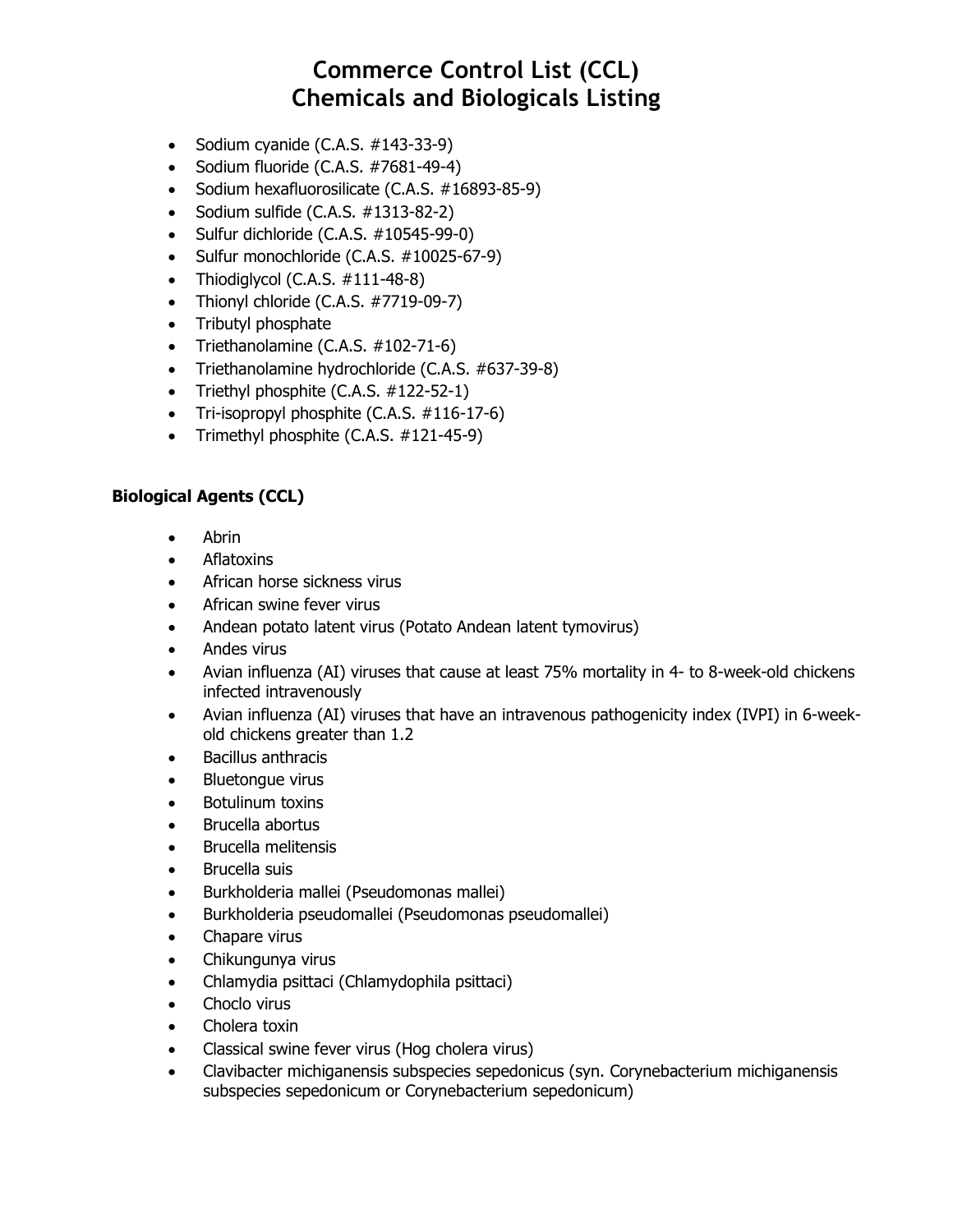- Sodium cyanide (C.A.S. #143-33-9)
- Sodium fluoride (C.A.S. #7681-49-4)
- Sodium hexafluorosilicate (C.A.S. #16893-85-9)
- Sodium sulfide  $(C.A.S. #1313-82-2)$
- Sulfur dichloride (C.A.S. #10545-99-0)
- Sulfur monochloride (C.A.S. #10025-67-9)
- Thiodiglycol (C.A.S.  $\#111-48-8$ )
- Thionyl chloride (C.A.S. #7719-09-7)
- Tributyl phosphate
- Triethanolamine (C.A.S. #102-71-6)
- Triethanolamine hydrochloride (C.A.S. #637-39-8)
- Triethyl phosphite (C.A.S. #122-52-1)
- Tri-isopropyl phosphite (C.A.S. #116-17-6)
- Trimethyl phosphite (C.A.S. #121-45-9)

#### **Biological Agents (CCL)**

- Abrin
- Aflatoxins
- African horse sickness virus
- African swine fever virus
- Andean potato latent virus (Potato Andean latent tymovirus)
- Andes virus
- Avian influenza (AI) viruses that cause at least 75% mortality in 4- to 8-week-old chickens infected intravenously
- Avian influenza (AI) viruses that have an intravenous pathogenicity index (IVPI) in 6-weekold chickens greater than 1.2
- Bacillus anthracis
- Bluetongue virus
- Botulinum toxins
- Brucella abortus
- Brucella melitensis
- Brucella suis
- Burkholderia mallei (Pseudomonas mallei)
- Burkholderia pseudomallei (Pseudomonas pseudomallei)
- Chapare virus
- Chikungunya virus
- Chlamydia psittaci (Chlamydophila psittaci)
- Choclo virus
- Cholera toxin
- Classical swine fever virus (Hog cholera virus)
- Clavibacter michiganensis subspecies sepedonicus (syn. Corynebacterium michiganensis subspecies sepedonicum or Corynebacterium sepedonicum)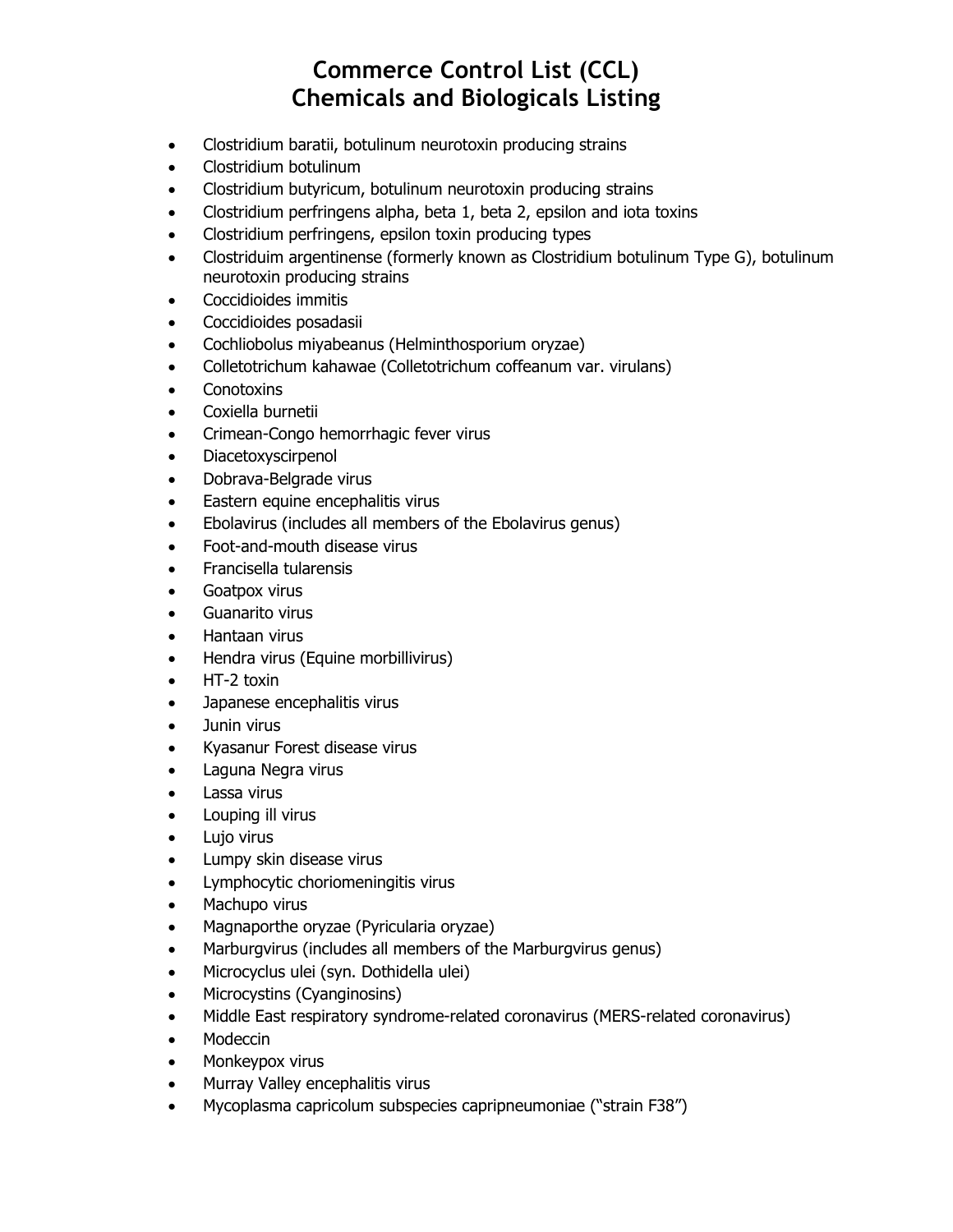- Clostridium baratii, botulinum neurotoxin producing strains
- Clostridium botulinum
- Clostridium butyricum, botulinum neurotoxin producing strains
- Clostridium perfringens alpha, beta 1, beta 2, epsilon and iota toxins
- Clostridium perfringens, epsilon toxin producing types
- Clostriduim argentinense (formerly known as Clostridium botulinum Type G), botulinum neurotoxin producing strains
- Coccidioides immitis
- Coccidioides posadasii
- Cochliobolus miyabeanus (Helminthosporium oryzae)
- Colletotrichum kahawae (Colletotrichum coffeanum var. virulans)
- Conotoxins
- Coxiella burnetii
- Crimean-Congo hemorrhagic fever virus
- Diacetoxyscirpenol
- Dobrava-Belgrade virus
- Eastern equine encephalitis virus
- Ebolavirus (includes all members of the Ebolavirus genus)
- Foot-and-mouth disease virus
- Francisella tularensis
- Goatpox virus
- Guanarito virus
- Hantaan virus
- Hendra virus (Equine morbillivirus)
- HT-2 toxin
- Japanese encephalitis virus
- Junin virus
- Kyasanur Forest disease virus
- Laguna Negra virus
- Lassa virus
- Louping ill virus
- Lujo virus
- Lumpy skin disease virus
- Lymphocytic choriomeningitis virus
- Machupo virus
- Magnaporthe oryzae (Pyricularia oryzae)
- Marburgvirus (includes all members of the Marburgvirus genus)
- Microcyclus ulei (syn. Dothidella ulei)
- Microcystins (Cyanginosins)
- Middle East respiratory syndrome-related coronavirus (MERS-related coronavirus)
- Modeccin
- Monkeypox virus
- Murray Valley encephalitis virus
- Mycoplasma capricolum subspecies capripneumoniae ("strain F38")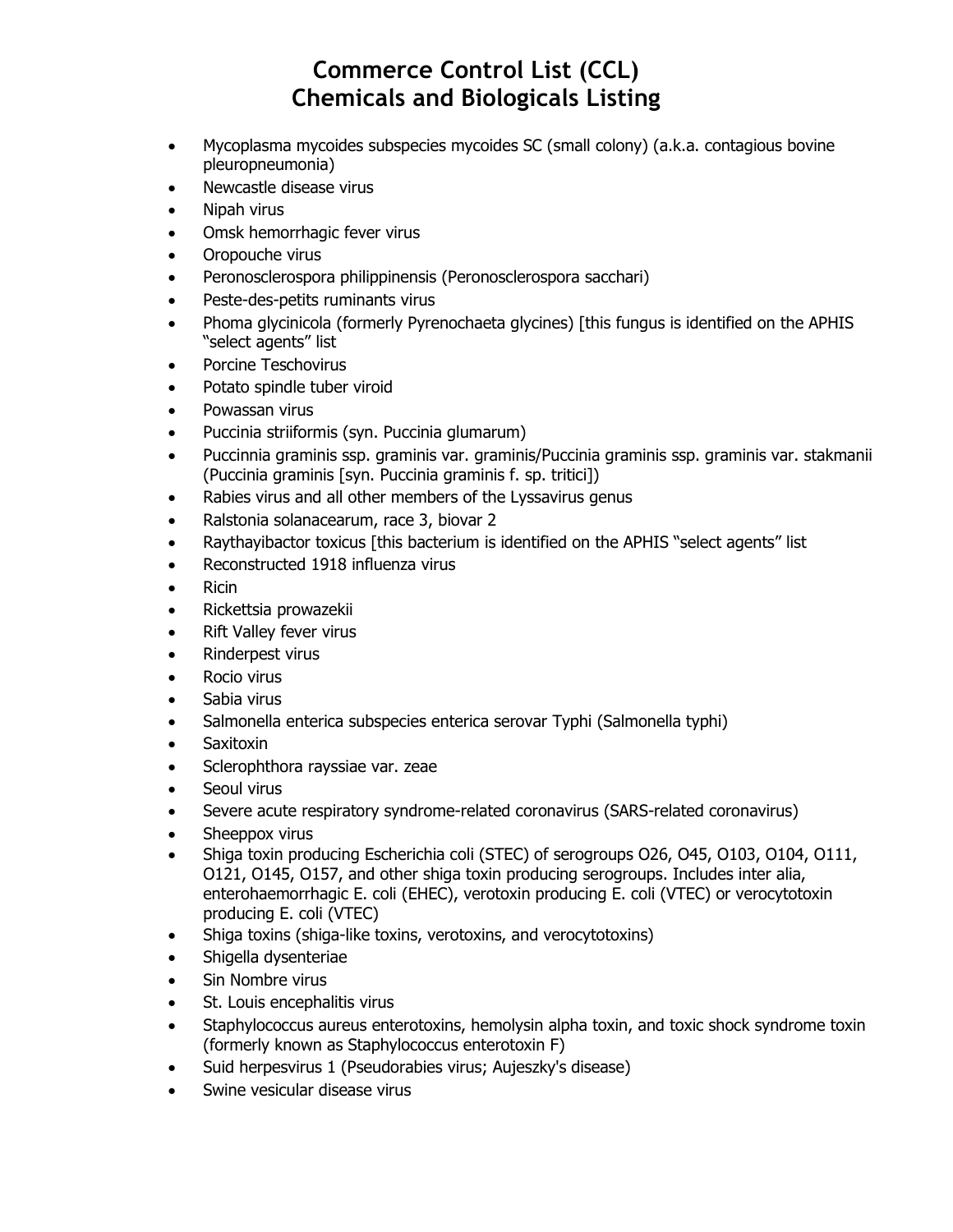- Mycoplasma mycoides subspecies mycoides SC (small colony) (a.k.a. contagious bovine pleuropneumonia)
- Newcastle disease virus
- Nipah virus
- Omsk hemorrhagic fever virus
- Oropouche virus
- Peronosclerospora philippinensis (Peronosclerospora sacchari)
- Peste-des-petits ruminants virus
- Phoma glycinicola (formerly Pyrenochaeta glycines) [this fungus is identified on the APHIS "select agents" list
- Porcine Teschovirus
- Potato spindle tuber viroid
- Powassan virus
- Puccinia striiformis (syn. Puccinia glumarum)
- Puccinnia graminis ssp. graminis var. graminis/Puccinia graminis ssp. graminis var. stakmanii (Puccinia graminis [syn. Puccinia graminis f. sp. tritici])
- Rabies virus and all other members of the Lyssavirus genus
- Ralstonia solanacearum, race 3, biovar 2
- Raythayibactor toxicus [this bacterium is identified on the APHIS "select agents" list
- Reconstructed 1918 influenza virus
- Ricin
- Rickettsia prowazekii
- Rift Valley fever virus
- Rinderpest virus
- Rocio virus
- Sabia virus
- Salmonella enterica subspecies enterica serovar Typhi (Salmonella typhi)
- **Saxitoxin**
- Sclerophthora rayssiae var. zeae
- Seoul virus
- Severe acute respiratory syndrome-related coronavirus (SARS-related coronavirus)
- Sheeppox virus
- Shiga toxin producing Escherichia coli (STEC) of serogroups O26, O45, O103, O104, O111, O121, O145, O157, and other shiga toxin producing serogroups. Includes inter alia, enterohaemorrhagic E. coli (EHEC), verotoxin producing E. coli (VTEC) or verocytotoxin producing E. coli (VTEC)
- Shiga toxins (shiga-like toxins, verotoxins, and verocytotoxins)
- Shigella dysenteriae
- Sin Nombre virus
- St. Louis encephalitis virus
- Staphylococcus aureus enterotoxins, hemolysin alpha toxin, and toxic shock syndrome toxin (formerly known as Staphylococcus enterotoxin F)
- Suid herpesvirus 1 (Pseudorabies virus; Aujeszky's disease)
- Swine vesicular disease virus